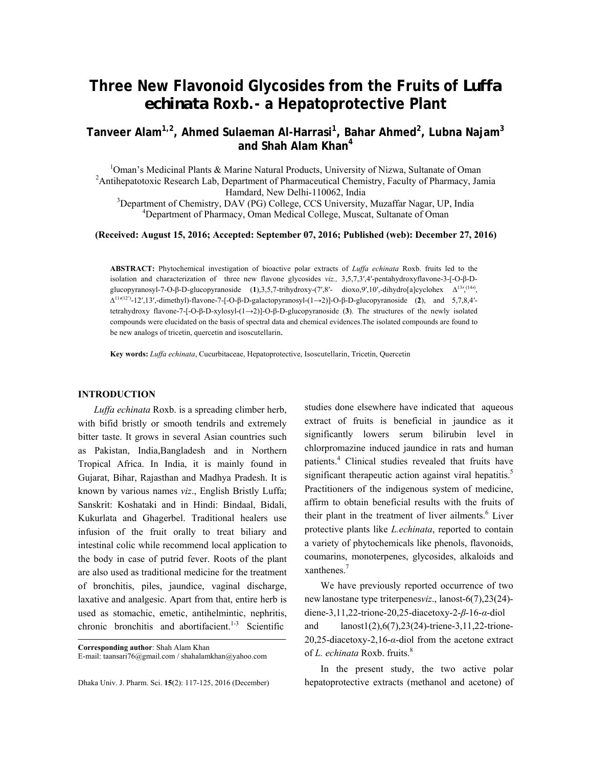# **Three New Flavonoid Glycosides from the Fruits of** *Luffa echinata* **Roxb.- a Hepatoprotective Plant**

**Tanveer Alam1,2, Ahmed Sulaeman Al-Harrasi1 , Bahar Ahmed<sup>2</sup> , Lubna Najam<sup>3</sup> and Shah Alam Khan4** 

<sup>1</sup>Oman's Medicinal Plants & Marine Natural Products, University of Nizwa, Sultanate of Oman <sup>2</sup> Antibonate to i.e. Because Leh Department of Pharmacoutieal Chamistry, Equility of Pharmacy, Ja <sup>2</sup> Antihepatotoxic Research Lab, Department of Pharmaceutical Chemistry, Faculty of Pharmacy, Jamia Hamdard, New Delhi-110062, India<br><sup>3</sup>Department of Chamietry, DAV (PG) College, CCS University

Department of Chemistry, DAV (PG) College, CCS University, Muzaffar Nagar, UP, India 4 <sup>4</sup>Department of Pharmacy, Oman Medical College, Muscat, Sultanate of Oman

### **(Received: August 15, 2016; Accepted: September 07, 2016; Published (web): December 27, 2016)**

**ABSTRACT:** Phytochemical investigation of bioactive polar extracts of *Luffa echinata* Roxb. fruits led to the isolation and characterization of three new flavone glycosides *viz.,* 3,5,7,3′,4′-pentahydroxyflavone-3-[-O-β-Dglucopyranosyl-7-O-β-D-glucopyranoside (1),3,5,7-trihydroxy-(7′,8′- dioxo,9′,10′,-dihydro[a]cyclohex  $\Delta^{13'}$ ,<sup>(14</sup>), ∆<sup>11</sup>′ (12')-12′,13′,-dimethyl)-flavone-7-[-O-β-D-galactopyranosyl-(1→2)]-O-β-D-glucopyranoside (**2**), and 5,7,8,4′ tetrahydroxy flavone-7-[-O-β-D-xylosyl-(1→2)]-O-β-D-glucopyranoside (**3**). The structures of the newly isolated compounds were elucidated on the basis of spectral data and chemical evidences.The isolated compounds are found to be new analogs of tricetin, quercetin and isoscutellarin.

**Key words:** *Luffa echinata*, Cucurbitaceae, Hepatoprotective, Isoscutellarin, Tricetin, Quercetin

### **INTRODUCTION**

 *Luffa echinata* Roxb. is a spreading climber herb, with bifid bristly or smooth tendrils and extremely bitter taste. It grows in several Asian countries such as Pakistan, India,Bangladesh and in Northern Tropical Africa. In India, it is mainly found in Gujarat, Bihar, Rajasthan and Madhya Pradesh. It is known by various names *viz*., English Bristly Luffa; Sanskrit: Koshataki and in Hindi: Bindaal, Bidali, Kukurlata and Ghagerbel. Traditional healers use infusion of the fruit orally to treat biliary and intestinal colic while recommend local application to the body in case of putrid fever. Roots of the plant are also used as traditional medicine for the treatment of bronchitis, piles, jaundice, vaginal discharge, laxative and analgesic. Apart from that, entire herb is used as stomachic, emetic, antihelmintic, nephritis, chronic bronchitis and abortifacient.<sup>1-3</sup> Scientific

**Corresponding author**: Shah Alam Khan E-mail: taansari76@gmail.com / shahalamkhan@yahoo.com

Dhaka Univ. J. Pharm. Sci. **15**(2): 117-125, 2016 (December)

studies done elsewhere have indicated that aqueous extract of fruits is beneficial in jaundice as it significantly lowers serum bilirubin level in chlorpromazine induced jaundice in rats and human patients.<sup>4</sup> Clinical studies revealed that fruits have significant therapeutic action against viral hepatitis.<sup>5</sup> Practitioners of the indigenous system of medicine, affirm to obtain beneficial results with the fruits of their plant in the treatment of liver ailments.<sup>6</sup> Liver protective plants like *L.echinata*, reported to contain a variety of phytochemicals like phenols, flavonoids, coumarins, monoterpenes, glycosides, alkaloids and xanthenes.7

 We have previously reported occurrence of two newlanostane type triterpenes*viz*., lanost-6(7),23(24) diene-3,11,22-trione-20,25-diacetoxy-2-*β*-16-*α*-diol and lanost1(2),6(7),23(24)-triene-3,11,22-trione-20,25-diacetoxy-2,16-*α*-diol from the acetone extract of *L. echinata* Roxb. fruits.<sup>8</sup>

 In the present study, the two active polar hepatoprotective extracts (methanol and acetone) of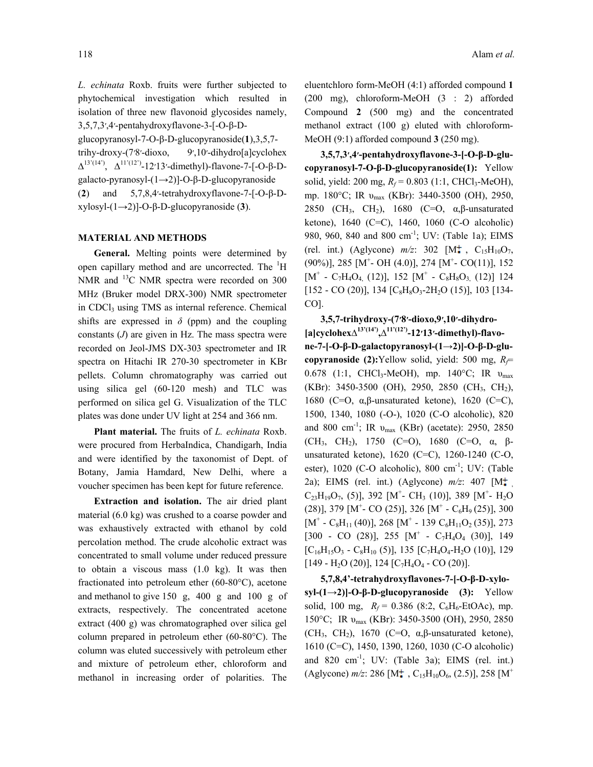*L. echinata* Roxb. fruits were further subjected to phytochemical investigation which resulted in isolation of three new flavonoid glycosides namely, 3,5,7,3′,4′-pentahydroxyflavone-3-[-O-β-D-

glucopyranosyl-7-O-β-D-glucopyranoside(**1**),3,5,7 trihy-droxy-(7′8′-dioxo, 9′,10′-dihydro[a]cyclohex  $Δ<sup>13'(14')</sup>, Δ<sup>11'(12')</sup>-12'13'-dimethyl)-flavone-7-[-O-β-D$ galacto-pyranosyl-(1→2)]-O-β-D-glucopyranoside (**2**) and 5,7,8,4′-tetrahydroxyflavone-7-[-O-β-Dxylosyl-(1→2)]-O-β-D-glucopyranoside (**3**).

### **MATERIAL AND METHODS**

 **General.** Melting points were determined by open capillary method and are uncorrected. The  ${}^{1}H$ NMR and <sup>13</sup>C NMR spectra were recorded on 300 MHz (Bruker model DRX-300) NMR spectrometer in CDCl<sub>3</sub> using TMS as internal reference. Chemical shifts are expressed in  $\delta$  (ppm) and the coupling constants (*J*) are given in Hz. The mass spectra were recorded on Jeol-JMS DX-303 spectrometer and IR spectra on Hitachi IR 270-30 spectrometer in KBr pellets. Column chromatography was carried out using silica gel (60-120 mesh) and TLC was performed on silica gel G. Visualization of the TLC plates was done under UV light at 254 and 366 nm.

**Plant material.** The fruits of *L. echinata* Roxb. were procured from HerbaIndica, Chandigarh, India and were identified by the taxonomist of Dept. of Botany, Jamia Hamdard, New Delhi, where a voucher specimen has been kept for future reference.

**Extraction and isolation.** The air dried plant material (6.0 kg) was crushed to a coarse powder and was exhaustively extracted with ethanol by cold percolation method. The crude alcoholic extract was concentrated to small volume under reduced pressure to obtain a viscous mass (1.0 kg). It was then fractionated into petroleum ether (60-80°C), acetone and methanol to give 150 g, 400 g and 100 g of extracts, respectively. The concentrated acetone extract (400 g) was chromatographed over silica gel column prepared in petroleum ether (60-80°C). The column was eluted successively with petroleum ether and mixture of petroleum ether, chloroform and methanol in increasing order of polarities. The eluentchloro form-MeOH (4:1) afforded compound **1**  (200 mg), chloroform-MeOH (3 : 2) afforded Compound **2** (500 mg) and the concentrated methanol extract (100 g) eluted with chloroform-MeOH (9:1) afforded compound **3** (250 mg).

**3,5,7,3′,4′-pentahydroxyflavone-3-[-O-β-D-glucopyranosyl-7-O-β-D-glucopyranoside(1):** Yellow solid, yield: 200 mg,  $R_f$  = 0.803 (1:1, CHCl<sub>3</sub>-MeOH), mp. 180°C; IR υ<sub>max</sub> (KBr): 3440-3500 (OH), 2950, 2850 (CH<sub>3</sub>, CH<sub>2</sub>), 1680 (C=O,  $\alpha$ ,  $\beta$ -unsaturated ketone), 1640 (C=C), 1460, 1060 (C-O alcoholic) 980, 960, 840 and 800 cm<sup>-1</sup>; UV: (Table 1a); EIMS (rel. int.) (Aglycone)  $m/z$ : 302  $[M_{\star}^{+}, C_{15}H_{10}O_{7}]$  $(90\%)$ ], 285 [M<sup>+</sup>- OH (4.0)], 274 [M<sup>+</sup>- CO(11)], 152  $[M^+ - C_7H_4O_{4,} (12)], 152 [M^+ - C_8H_8O_{3,} (12)]$  124  $[152 - CO (20)], 134 [C_8H_8O_3-2H_2O (15)], 103 [134-$ CO].

 **3,5,7-trihydroxy-(7′8′-dioxo,9′,10′-dihydro- [a]cyclohex∆13'(14'),∆11'(12')-12′13′-dimethyl)-flavone-7-[-O-β-D-galactopyranosyl-(1→2)]-O-β-D-glucopyranoside (2):**Yellow solid, yield: 500 mg, *Rf*= 0.678 (1:1, CHCl<sub>3</sub>-MeOH), mp. 140°C; IR  $v_{\text{max}}$ (KBr): 3450-3500 (OH), 2950, 2850 (CH<sub>3</sub>, CH<sub>2</sub>), 1680 (C=O, α,β-unsaturated ketone), 1620 (C=C), 1500, 1340, 1080 (-O-), 1020 (C-O alcoholic), 820 and 800 cm<sup>-1</sup>; IR  $v_{\text{max}}$  (KBr) (acetate): 2950, 2850 (CH<sub>3</sub>, CH<sub>2</sub>), 1750 (C=O), 1680 (C=O, α, βunsaturated ketone), 1620 (C=C), 1260-1240 (C-O, ester), 1020 (C-O alcoholic), 800 cm<sup>-1</sup>; UV: (Table 2a); EIMS (rel. int.) (Aglycone)  $m/z$ : 407  $[M_{\star}^+$  $C_{23}H_{19}O_7$ , (5)], 392 [M<sup>+</sup>- CH<sub>3</sub> (10)], 389 [M<sup>+</sup>- H<sub>2</sub>O  $(28)$ ], 379 [M<sup>+</sup> CO (25)], 326 [M<sup>+</sup> - C<sub>6</sub>H<sub>9</sub> (25)], 300  $[M^+ - C_8H_{11}(40)], 268 [M^+ - 139 C_6H_{11}O_2(35)], 273$  $[300 - CO (28)]$ , 255  $[M^+ - C_7H_4O_4 (30)]$ , 149  $[C_{16}H_{15}O_3 - C_8H_{10} (5)]$ , 135  $[C_7H_4O_4-H_2O (10)]$ , 129  $[149 - H<sub>2</sub>O (20)], 124 [C<sub>7</sub>H<sub>4</sub>O<sub>4</sub> - CO (20)].$ 

**5,7,8,4'-tetrahydroxyflavones-7-[-O-β-D-xylosyl-(1→2)]-O-β-D-glucopyranoside (3):** Yellow solid, 100 mg,  $R_f = 0.386$  (8:2, C<sub>6</sub>H<sub>6</sub>-EtOAc), mp. 150°C; IR υmax (KBr): 3450-3500 (OH), 2950, 2850 (CH<sub>3</sub>, CH<sub>2</sub>), 1670 (C=O,  $\alpha$ ,  $\beta$ -unsaturated ketone), 1610 (C=C), 1450, 1390, 1260, 1030 (C-O alcoholic) and 820 cm<sup>-1</sup>; UV: (Table 3a); EIMS (rel. int.) (Aglycone)  $m/z$ : 286 [M<sup>+</sup>, C<sub>15</sub>H<sub>10</sub>O<sub>6</sub>, (2.5)], 258 [M<sup>+</sup>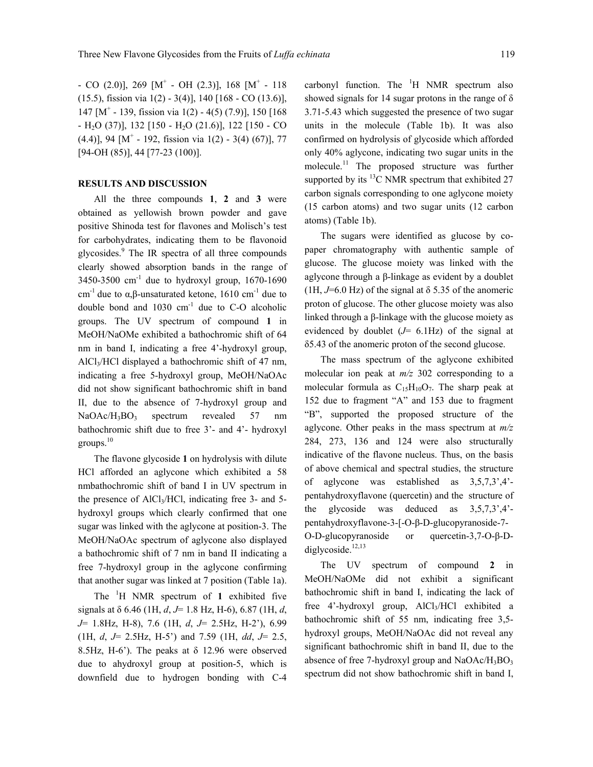$-$  CO (2.0)], 269 [M<sup>+</sup>  $-$  OH (2.3)], 168 [M<sup>+</sup>  $-$  118 (15.5), fission via 1(2) - 3(4)], 140 [168 - CO (13.6)], 147 [M+ - 139, fission via 1(2) - 4(5) (7.9)], 150 [168  $-H_2O$  (37)], 132 [150 - H<sub>2</sub>O (21.6)], 122 [150 - CO  $(4.4)$ ], 94 [M<sup>+</sup> - 192, fission via 1(2) - 3(4) (67)], 77 [94-OH (85)], 44 [77-23 (100)].

### **RESULTS AND DISCUSSION**

 All the three compounds **1**, **2** and **3** were obtained as yellowish brown powder and gave positive Shinoda test for flavones and Molisch's test for carbohydrates, indicating them to be flavonoid glycosides.<sup>9</sup> The IR spectra of all three compounds clearly showed absorption bands in the range of  $3450-3500$  cm<sup>-1</sup> due to hydroxyl group, 1670-1690 cm<sup>-1</sup> due to α,β-unsaturated ketone, 1610 cm<sup>-1</sup> due to double bond and  $1030 \text{ cm}^{-1}$  due to C-O alcoholic groups. The UV spectrum of compound **1** in MeOH/NaOMe exhibited a bathochromic shift of 64 nm in band I, indicating a free 4'-hydroxyl group, AlCl<sub>3</sub>/HCl displayed a bathochromic shift of 47 nm, indicating a free 5-hydroxyl group, MeOH/NaOAc did not show significant bathochromic shift in band II, due to the absence of 7-hydroxyl group and NaOAc/H<sub>3</sub>BO<sub>3</sub> spectrum revealed 57 nm bathochromic shift due to free 3'- and 4'- hydroxyl groups. $10$ 

 The flavone glycoside **1** on hydrolysis with dilute HCl afforded an aglycone which exhibited a 58 nmbathochromic shift of band I in UV spectrum in the presence of  $AICI<sub>3</sub>/HCl$ , indicating free 3- and 5hydroxyl groups which clearly confirmed that one sugar was linked with the aglycone at position-3. The MeOH/NaOAc spectrum of aglycone also displayed a bathochromic shift of 7 nm in band II indicating a free 7-hydroxyl group in the aglycone confirming that another sugar was linked at 7 position (Table 1a).

 The <sup>1</sup> H NMR spectrum of **1** exhibited five signals at δ 6.46 (1H, *d*, *J*= 1.8 Hz, H-6), 6.87 (1H, *d*, *J*= 1.8Hz, H-8), 7.6 (1H, *d*, *J*= 2.5Hz, H-2'), 6.99 (1H, *d*, *J*= 2.5Hz, H-5') and 7.59 (1H, *dd*, *J*= 2.5, 8.5Hz, H-6'). The peaks at  $\delta$  12.96 were observed due to ahydroxyl group at position-5, which is downfield due to hydrogen bonding with C-4

carbonyl function. The  $H$  NMR spectrum also showed signals for 14 sugar protons in the range of  $\delta$ 3.71-5.43 which suggested the presence of two sugar units in the molecule (Table 1b). It was also confirmed on hydrolysis of glycoside which afforded only 40% aglycone, indicating two sugar units in the molecule.11 The proposed structure was further supported by its  $^{13}$ C NMR spectrum that exhibited 27 carbon signals corresponding to one aglycone moiety (15 carbon atoms) and two sugar units (12 carbon atoms) (Table 1b).

 The sugars were identified as glucose by copaper chromatography with authentic sample of glucose. The glucose moiety was linked with the aglycone through a β-linkage as evident by a doublet  $(1H, J=6.0 \text{ Hz})$  of the signal at  $\delta$  5.35 of the anomeric proton of glucose. The other glucose moiety was also linked through a β-linkage with the glucose moiety as evidenced by doublet (*J*= 6.1Hz) of the signal at δ5.43 of the anomeric proton of the second glucose.

 The mass spectrum of the aglycone exhibited molecular ion peak at *m/z* 302 corresponding to a molecular formula as  $C_{15}H_{10}O_7$ . The sharp peak at 152 due to fragment "A" and 153 due to fragment "B", supported the proposed structure of the aglycone. Other peaks in the mass spectrum at *m/z*  284, 273, 136 and 124 were also structurally indicative of the flavone nucleus. Thus, on the basis of above chemical and spectral studies, the structure of aglycone was established as 3,5,7,3',4' pentahydroxyflavone (quercetin) and the structure of the glycoside was deduced as 3,5,7,3',4' pentahydroxyflavone-3-[-O-β-D-glucopyranoside-7- O-D-glucopyranoside or quercetin-3,7-O-β-Ddiglycoside.<sup>12,13</sup>

 The UV spectrum of compound **2** in MeOH/NaOMe did not exhibit a significant bathochromic shift in band I, indicating the lack of free 4'-hydroxyl group, AlCl3/HCl exhibited a bathochromic shift of 55 nm, indicating free 3,5 hydroxyl groups, MeOH/NaOAc did not reveal any significant bathochromic shift in band II, due to the absence of free 7-hydroxyl group and  $NaOAc/H_3BO_3$ spectrum did not show bathochromic shift in band I,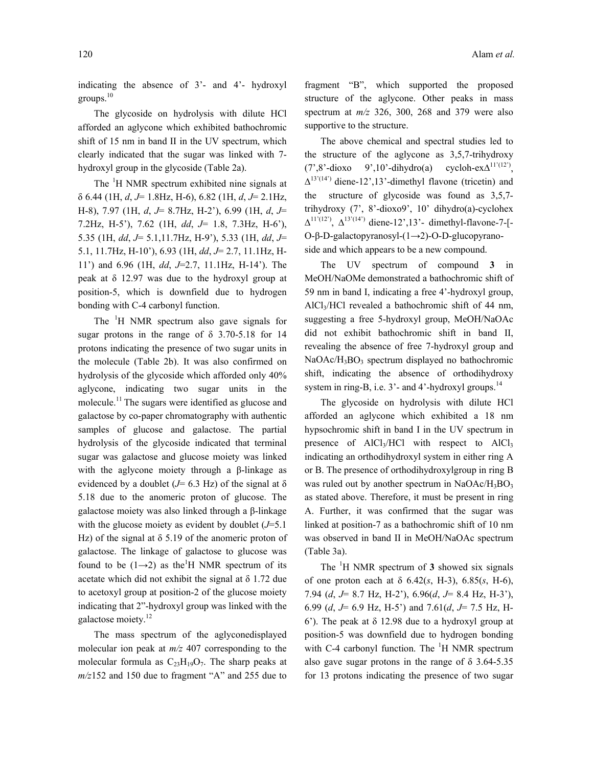indicating the absence of 3'- and 4'- hydroxyl groups.<sup>10</sup>

 The glycoside on hydrolysis with dilute HCl afforded an aglycone which exhibited bathochromic shift of 15 nm in band II in the UV spectrum, which clearly indicated that the sugar was linked with 7 hydroxyl group in the glycoside (Table 2a).

The <sup>1</sup>H NMR spectrum exhibited nine signals at δ 6.44 (1H, *d*, *J*= 1.8Hz, H-6), 6.82 (1H, *d*, *J*= 2.1Hz, H-8), 7.97 (1H, *d*, *J*= 8.7Hz, H-2'), 6.99 (1H, *d*, *J*= 7.2Hz, H-5'), 7.62 (1H, *dd*, *J*= 1.8, 7.3Hz, H-6'), 5.35 (1H, *dd*, *J*= 5.1,11.7Hz, H-9'), 5.33 (1H, *dd*, *J*= 5.1, 11.7Hz, H-10'), 6.93 (1H, *dd*, *J*= 2.7, 11.1Hz, H-11') and 6.96 (1H, *dd*, *J*=2.7, 11.1Hz, H-14'). The peak at  $\delta$  12.97 was due to the hydroxyl group at position-5, which is downfield due to hydrogen bonding with C-4 carbonyl function.

The <sup>1</sup>H NMR spectrum also gave signals for sugar protons in the range of  $\delta$  3.70-5.18 for 14 protons indicating the presence of two sugar units in the molecule (Table 2b). It was also confirmed on hydrolysis of the glycoside which afforded only 40% aglycone, indicating two sugar units in the molecule.<sup>11</sup> The sugars were identified as glucose and galactose by co-paper chromatography with authentic samples of glucose and galactose. The partial hydrolysis of the glycoside indicated that terminal sugar was galactose and glucose moiety was linked with the aglycone moiety through a β-linkage as evidenced by a doublet ( $J=6.3$  Hz) of the signal at  $\delta$ 5.18 due to the anomeric proton of glucose. The galactose moiety was also linked through a β-linkage with the glucose moiety as evident by doublet (*J*=5.1 Hz) of the signal at  $\delta$  5.19 of the anomeric proton of galactose. The linkage of galactose to glucose was found to be  $(1\rightarrow 2)$  as the<sup>1</sup>H NMR spectrum of its acetate which did not exhibit the signal at  $\delta$  1.72 due to acetoxyl group at position-2 of the glucose moiety indicating that 2"-hydroxyl group was linked with the galactose moiety.<sup>12</sup>

 The mass spectrum of the aglyconedisplayed molecular ion peak at *m/z* 407 corresponding to the molecular formula as  $C_{23}H_{19}O_7$ . The sharp peaks at *m/z*152 and 150 due to fragment "A" and 255 due to fragment "B", which supported the proposed structure of the aglycone. Other peaks in mass spectrum at *m/z* 326, 300, 268 and 379 were also supportive to the structure.

 The above chemical and spectral studies led to the structure of the aglycone as 3,5,7-trihydroxy  $(7^{\circ}, 8^{\circ}$ -dioxo 9',10'-dihydro(a) cycloh-ex $\Delta^{11'(12')}$ ,  $\Delta^{13'(14')}$  diene-12', 13'-dimethyl flavone (tricetin) and the structure of glycoside was found as 3,5,7 trihydroxy  $(7, 8\text{-dioxo9}, 10\text{/} dihydro(a)\text{-cyclohex})$  $\Delta^{11'(12')}$ ,  $\Delta^{13'(14')}$  diene-12', 13'- dimethyl-flavone-7-[-O-β-D-galactopyranosyl-(1→2)-O-D-glucopyranoside and which appears to be a new compound.

 The UV spectrum of compound **3** in MeOH/NaOMe demonstrated a bathochromic shift of 59 nm in band I, indicating a free 4'-hydroxyl group, AlCl<sub>3</sub>/HCl revealed a bathochromic shift of 44 nm, suggesting a free 5-hydroxyl group, MeOH/NaOAc did not exhibit bathochromic shift in band II, revealing the absence of free 7-hydroxyl group and  $NaOAc/H<sub>3</sub>BO<sub>3</sub> spectrum displayed no bathochromic$ shift, indicating the absence of orthodihydroxy system in ring-B, i.e.  $3'$ - and  $4'$ -hydroxyl groups.<sup>14</sup>

 The glycoside on hydrolysis with dilute HCl afforded an aglycone which exhibited a 18 nm hypsochromic shift in band I in the UV spectrum in presence of  $AICI<sub>3</sub>/HCl$  with respect to  $AICI<sub>3</sub>$ indicating an orthodihydroxyl system in either ring A or B. The presence of orthodihydroxylgroup in ring B was ruled out by another spectrum in NaOAc/H<sub>3</sub>BO<sub>3</sub> as stated above. Therefore, it must be present in ring A. Further, it was confirmed that the sugar was linked at position-7 as a bathochromic shift of 10 nm was observed in band II in MeOH/NaOAc spectrum (Table 3a).

 The <sup>1</sup> H NMR spectrum of **3** showed six signals of one proton each at δ 6.42(*s*, H-3), 6.85(*s*, H-6), 7.94 (*d*, *J*= 8.7 Hz, H-2'), 6.96(*d*, *J*= 8.4 Hz, H-3'), 6.99 (*d*, *J*= 6.9 Hz, H-5') and 7.61(*d*, *J*= 7.5 Hz, H-6'). The peak at  $\delta$  12.98 due to a hydroxyl group at position-5 was downfield due to hydrogen bonding with C-4 carbonyl function. The  ${}^{1}H$  NMR spectrum also gave sugar protons in the range of  $\delta$  3.64-5.35 for 13 protons indicating the presence of two sugar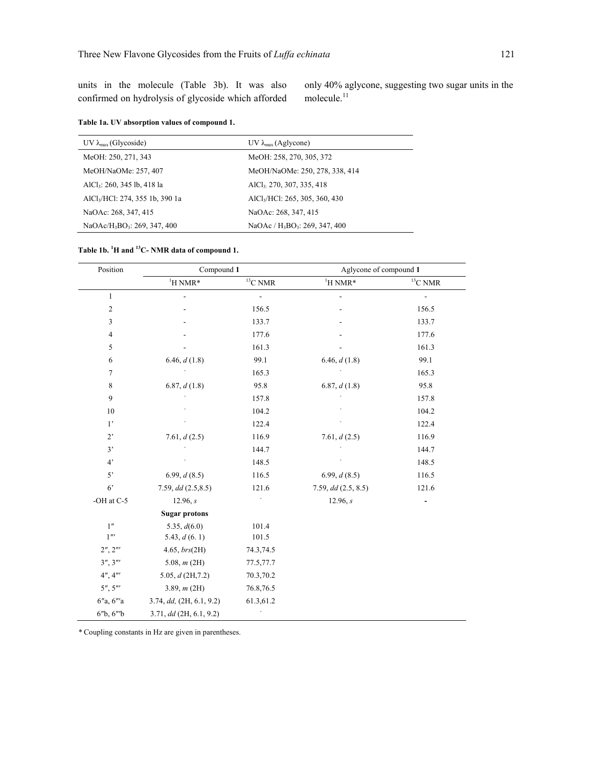units in the molecule (Table 3b). It was also confirmed on hydrolysis of glycoside which afforded only 40% aglycone, suggesting two sugar units in the molecule. $11$ 

|  |  |  | Table 1a. UV absorption values of compound 1. |
|--|--|--|-----------------------------------------------|
|--|--|--|-----------------------------------------------|

| UV $\lambda_{\text{max}}$ (Glycoside)                | UV $\lambda_{\text{max}}$ (Aglycone)                   |
|------------------------------------------------------|--------------------------------------------------------|
| MeOH: 250, 271, 343                                  | MeOH: 258, 270, 305, 372                               |
| MeOH/NaOMe: 257, 407                                 | MeOH/NaOMe: 250, 278, 338, 414                         |
| AlCl <sub>3</sub> : 260, 345 lb, 418 la              | AlCl <sub>3</sub> 270, 307, 335, 418                   |
| AlCl <sub>3</sub> /HCl: 274, 355 1b, 390 1a          | AlCl <sub>3</sub> /HCl: 265, 305, 360, 430             |
| NaOAc: 268, 347, 415                                 | NaOAc: 268, 347, 415                                   |
| NaOAc/H <sub>3</sub> BO <sub>3</sub> : 269, 347, 400 | NaOAc / H <sub>3</sub> BO <sub>3</sub> : 269, 347, 400 |

| Table 1b. <sup>1</sup> H and <sup>13</sup> C- NMR data of compound 1. |  |  |  |
|-----------------------------------------------------------------------|--|--|--|
|-----------------------------------------------------------------------|--|--|--|

| Position<br>Compound 1 |                           |                          |                       | Aglycone of compound 1 |  |
|------------------------|---------------------------|--------------------------|-----------------------|------------------------|--|
|                        | $H NMR^*$                 | $^{13}\mathrm{C}$ NMR    | $^1\mathrm{H}$ NMR*   | $^{13}\mathrm{C}$ NMR  |  |
| $\mathbf{1}$           |                           | $\overline{\phantom{a}}$ |                       | $\frac{1}{2}$          |  |
| $\boldsymbol{2}$       |                           | 156.5                    |                       | 156.5                  |  |
| 3                      |                           | 133.7                    |                       | 133.7                  |  |
| $\overline{4}$         |                           | 177.6                    |                       | 177.6                  |  |
| $\sqrt{5}$             |                           | 161.3                    |                       | 161.3                  |  |
| 6                      | 6.46, d(1.8)              | 99.1                     | 6.46, $d(1.8)$        | 99.1                   |  |
| $\boldsymbol{7}$       |                           | 165.3                    |                       | 165.3                  |  |
| 8                      | 6.87, d(1.8)              | 95.8                     | 6.87, d(1.8)          | 95.8                   |  |
| $\overline{9}$         |                           | 157.8                    |                       | 157.8                  |  |
| 10                     |                           | 104.2                    |                       | 104.2                  |  |
| $1$ '                  |                           | 122.4                    |                       | 122.4                  |  |
| $2^{\circ}$            | 7.61, d(2.5)              | 116.9                    | 7.61, $d(2.5)$        | 116.9                  |  |
| 3'                     |                           | 144.7                    |                       | 144.7                  |  |
| 4'                     |                           | 148.5                    |                       | 148.5                  |  |
| 5'                     | 6.99, d(8.5)              | 116.5                    | 6.99, d(8.5)          | 116.5                  |  |
| 6 <sup>2</sup>         | 7.59, dd(2.5, 8.5)        | 121.6                    | 7.59, $dd$ (2.5, 8.5) | 121.6                  |  |
| -OH at C-5             | 12.96, s                  |                          | 12.96, s              |                        |  |
|                        | <b>Sugar protons</b>      |                          |                       |                        |  |
| 1"                     | 5.35, $d(6.0)$            | 101.4                    |                       |                        |  |
| $1^{\prime\prime}$     | 5.43, $d(6.1)$            | 101.5                    |                       |                        |  |
| 2'', 2'''              | 4.65, brs(2H)             | 74.3,74.5                |                       |                        |  |
| 3'', 3'''              | 5.08, $m(2H)$             | 77.5,77.7                |                       |                        |  |
| 4'', 4'''              | 5.05, $d$ (2H, 7.2)       | 70.3,70.2                |                       |                        |  |
| 5'', 5'''              | 3.89, m(2H)               | 76.8,76.5                |                       |                        |  |
| 6''a, 6'''a            | 3.74, dd, (2H, 6.1, 9.2)  | 61.3,61.2                |                       |                        |  |
| 6"b, 6"b               | $3.71, dd$ (2H, 6.1, 9.2) |                          |                       |                        |  |

*\** Coupling constants in Hz are given in parentheses.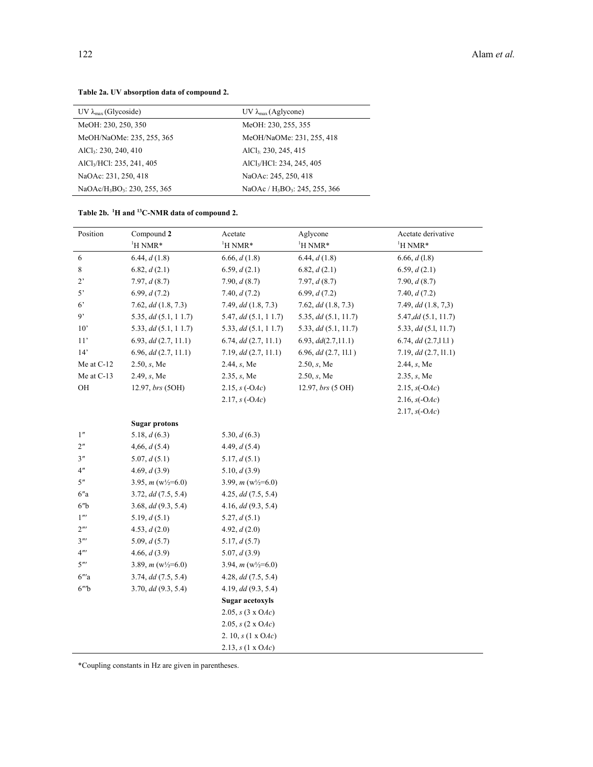| UV $\lambda_{\text{max}}$ (Glycoside)                | UV $\lambda_{\text{max}}$ (Aglycone)                   |
|------------------------------------------------------|--------------------------------------------------------|
| MeOH: 230, 250, 350                                  | MeOH: 230, 255, 355                                    |
| MeOH/NaOMe: 235, 255, 365                            | MeOH/NaOMe: 231, 255, 418                              |
| $AICI_3$ : 230, 240, 410                             | AlCl <sub>3</sub> 230, 245, 415                        |
| AlCl <sub>3</sub> /HCl: 235, 241, 405                | AlCl <sub>3</sub> /HCl: 234, 245, 405                  |
| NaOAc: 231, 250, 418                                 | NaOAc: 245, 250, 418                                   |
| NaOAc/H <sub>3</sub> BO <sub>3</sub> : 230, 255, 365 | NaOAc / H <sub>3</sub> BO <sub>3</sub> : 245, 255, 366 |

# **Table 2a. UV absorption data of compound 2.**

# **Table 2b. 1H and 13C-NMR data of compound 2.**

| Position                   | Compound 2               | Acetate                  | Aglycone                | Acetate derivative       |
|----------------------------|--------------------------|--------------------------|-------------------------|--------------------------|
|                            | <sup>1</sup> H NMR*      | $\mathrm{^1H}$ NMR*      | <sup>1</sup> H NMR*     | <sup>1</sup> H NMR*      |
| 6                          | 6.44, d(1.8)             | 6.66, d(1.8)             | 6.44, d(1.8)            | 6.66, $d(1.8)$           |
| 8                          | 6.82, d(2.1)             | 6.59, d(2.1)             | 6.82, d(2.1)            | 6.59, $d(2.1)$           |
| $2^{\circ}$                | 7.97, d(8.7)             | 7.90, $d(8.7)$           | 7.97, d(8.7)            | 7.90, $d(8.7)$           |
| $5^{\circ}$                | 6.99, d(7.2)             | 7.40, $d(7.2)$           | 6.99, d(7.2)            | 7.40, $d(7.2)$           |
| 6 <sup>2</sup>             | $7.62, dd$ $(1.8, 7.3)$  | 7.49, $dd$ $(1.8, 7.3)$  | $7.62, dd$ $(1.8, 7.3)$ | 7.49, $dd$ $(1.8, 7.3)$  |
| 9"                         | 5.35, dd(5.1, 11.7)      | 5.47, dd(5.1, 11.7)      | 5.35, dd(5.1, 11.7)     | $5.47, dd$ $(5.1, 11.7)$ |
| 10'                        | 5.33, dd (5.1, 11.7)     | 5.33, dd(5.1, 11.7)      | 5.33, dd(5.1, 11.7)     | 5.33, $dd$ (5.1, 11.7)   |
| 11'                        | 6.93, dd(2.7, 11.1)      | 6.74, dd(2.7, 11.1)      | 6.93, d d(2.7, 11.1)    | 6.74, dd(2.7,11.1)       |
| 14'                        | $6.96, dd$ $(2.7, 11.1)$ | 7.19, dd(2.7, 11.1)      | 6.96, dd(2.7, 11.1)     | 7.19, dd(2.7, 11.1)      |
| Me at $C-12$               | 2.50, s, Me              | 2.44, s, Me              | 2.50, s, Me             | 2.44, s, Me              |
| Me at C-13                 | 2.49, s, Me              | 2.35, s, Me              | 2.50, s, Me             | 2.35, s, Me              |
| OH                         | 12.97, brs (5OH)         | $2.15, s(-OAC)$          | 12.97, brs (5 OH)       | 2.15, $s(-OAC)$          |
|                            |                          | 2.17, $s(-OAc)$          |                         | 2.16, $s(-OAC)$          |
|                            |                          |                          |                         | $2.17, s(-OAC)$          |
|                            | <b>Sugar protons</b>     |                          |                         |                          |
| 1 <sup>''</sup>            | 5.18, $d(6.3)$           | 5.30, $d(6.3)$           |                         |                          |
| 2 <sup>n</sup>             | 4,66, d(5.4)             | 4.49, $d(5.4)$           |                         |                          |
| 3 <sup>n</sup>             | 5.07, d(5.1)             | 5.17, d(5.1)             |                         |                          |
| 4 <sup>n</sup>             | 4.69, $d(3.9)$           | 5.10, $d(3.9)$           |                         |                          |
| 5"                         | 3.95, $m(w)/_{2}=6.0$    | 3.99, $m(w)/_{2}=6.0$    |                         |                          |
| 6''a                       | 3.72, dd(7.5, 5.4)       | 4.25, dd(7.5, 5.4)       |                         |                          |
| 6 <sup>n</sup> b           | 3.68, dd(9.3, 5.4)       | 4.16, dd(9.3, 5.4)       |                         |                          |
| $1^{\prime\prime\prime}$   | 5.19, $d(5.1)$           | 5.27, d(5.1)             |                         |                          |
| $2^{\prime\prime\prime}$   | 4.53, $d(2.0)$           | 4.92, $d(2.0)$           |                         |                          |
| $3^{\prime\prime\prime}$   | 5.09, $d(5.7)$           | 5.17, d(5.7)             |                         |                          |
| $4^{\prime\prime\prime}$   | 4.66, d(3.9)             | 5.07, $d(3.9)$           |                         |                          |
| $5^{\prime\prime\prime}$   | 3.89, $m(w)/_{2}=6.0$    | 3.94, $m(w)/_{2}=6.0$    |                         |                          |
| $6^{\prime\prime\prime}$ a | 3.74, dd(7.5, 5.4)       | 4.28, dd(7.5, 5.4)       |                         |                          |
| $6''$ <sup>b</sup>         | 3.70, dd(9.3, 5.4)       | 4.19, $dd(9.3, 5.4)$     |                         |                          |
|                            |                          | <b>Sugar acetoxyls</b>   |                         |                          |
|                            |                          | 2.05, $s(3 \times OAC)$  |                         |                          |
|                            |                          | 2.05, $s(2 \times OAC)$  |                         |                          |
|                            |                          | 2. 10, $s(1 \times OAc)$ |                         |                          |
|                            |                          | 2.13, $s(1 \times OAc)$  |                         |                          |

\*Coupling constants in Hz are given in parentheses.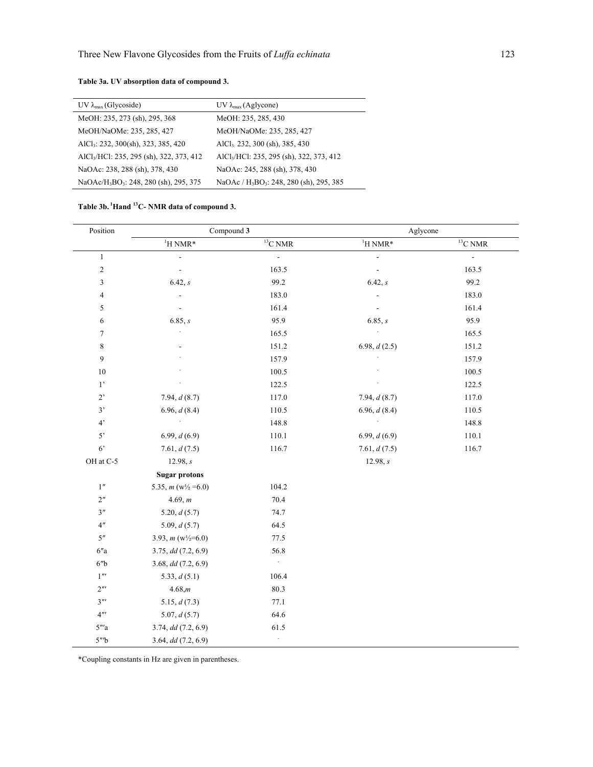| UV $\lambda_{\text{max}}$ (Glycoside)                          | UV $\lambda_{\text{max}}$ (Aglycone)                             |
|----------------------------------------------------------------|------------------------------------------------------------------|
| MeOH: 235, 273 (sh), 295, 368                                  | MeOH: 235, 285, 430                                              |
| MeOH/NaOMe: 235, 285, 427                                      | MeOH/NaOMe: 235, 285, 427                                        |
| AlCl <sub>3</sub> : 232, 300(sh), 323, 385, 420                | AlCl <sub>3</sub> 232, 300 (sh), 385, 430                        |
| AlCl <sub>3</sub> /HCl: 235, 295 (sh), 322, 373, 412           | AlCl <sub>3</sub> /HCl: 235, 295 (sh), 322, 373, 412             |
| NaOAc: 238, 288 (sh), 378, 430                                 | NaOAc: 245, 288 (sh), 378, 430                                   |
| NaOAc/H <sub>3</sub> BO <sub>3</sub> : 248, 280 (sh), 295, 375 | NaOAc / H <sub>3</sub> BO <sub>3</sub> : 248, 280 (sh), 295, 385 |

## **Table 3b. 1Hand 13C- NMR data of compound 3.**

| Position                   | Compound 3              |                | Aglycone                 |            |
|----------------------------|-------------------------|----------------|--------------------------|------------|
|                            | $^1\mathrm{H}$ NMR*     | $13$ C NMR     | $^1\mathrm{H}$ NMR*      | $13$ C NMR |
| $\,1$                      | $\overline{a}$          | $\blacksquare$ | $\overline{\phantom{a}}$ | $\Box$     |
| $\sqrt{2}$                 | $\Box$                  | 163.5          | $\Box$                   | 163.5      |
| 3                          | 6.42, s                 | 99.2           | 6.42, s                  | 99.2       |
| $\overline{4}$             |                         | 183.0          |                          | 183.0      |
| 5                          |                         | 161.4          | $\overline{\phantom{a}}$ | 161.4      |
| 6                          | 6.85, s                 | 95.9           | 6.85, s                  | 95.9       |
| $\tau$                     |                         | 165.5          |                          | 165.5      |
| $\,$ 8 $\,$                |                         | 151.2          | 6.98, $d(2.5)$           | 151.2      |
| 9                          |                         | 157.9          |                          | 157.9      |
| 10                         |                         | 100.5          |                          | 100.5      |
| $1^{\circ}$                |                         | 122.5          |                          | 122.5      |
| $2^{\circ}$                | 7.94, $d(8.7)$          | 117.0          | 7.94, d(8.7)             | 117.0      |
| 3'                         | 6.96, $d(8.4)$          | 110.5          | 6.96, d(8.4)             | 110.5      |
| 4'                         | J.                      | 148.8          |                          | 148.8      |
| 5'                         | 6.99, $d(6.9)$          | 110.1          | 6.99, d(6.9)             | $110.1\,$  |
| $6^\circ$                  | 7.61, $d(7.5)$          | 116.7          | 7.61, d(7.5)             | 116.7      |
| OH at C-5                  | 12.98, s                |                | 12.98, s                 |            |
|                            | <b>Sugar protons</b>    |                |                          |            |
| 1"                         | 5.35, $m(w)/_{2} = 6.0$ | 104.2          |                          |            |
| 2 <sup>n</sup>             | 4.69, m                 | 70.4           |                          |            |
| 3''                        | 5.20, $d(5.7)$          | 74.7           |                          |            |
| 4 <sup>n</sup>             | 5.09, $d(5.7)$          | 64.5           |                          |            |
| 5 <sup>n</sup>             | 3.93, $m(w)/_{2}=6.0$   | 77.5           |                          |            |
| $6''a$                     | 3.75, dd(7.2, 6.9)      | 56.8           |                          |            |
| 6'' <sub>b</sub>           | 3.68, $dd$ (7.2, 6.9)   | $\Box$         |                          |            |
| $1^{\prime\prime}$         | 5.33, $d(5.1)$          | 106.4          |                          |            |
| $2^{\prime\prime\prime}$   | 4.68,m                  | 80.3           |                          |            |
| $3^{\prime\prime\prime}$   | 5.15, $d(7.3)$          | 77.1           |                          |            |
| $4^{\prime\prime\prime}$   | 5.07, d(5.7)            | 64.6           |                          |            |
| $5^{\prime\prime\prime}$ a | 3.74, dd (7.2, 6.9)     | 61.5           |                          |            |
| $5^{\prime\prime}$ b       | 3.64, $dd$ (7.2, 6.9)   | ÷,             |                          |            |

\*Coupling constants in Hz are given in parentheses.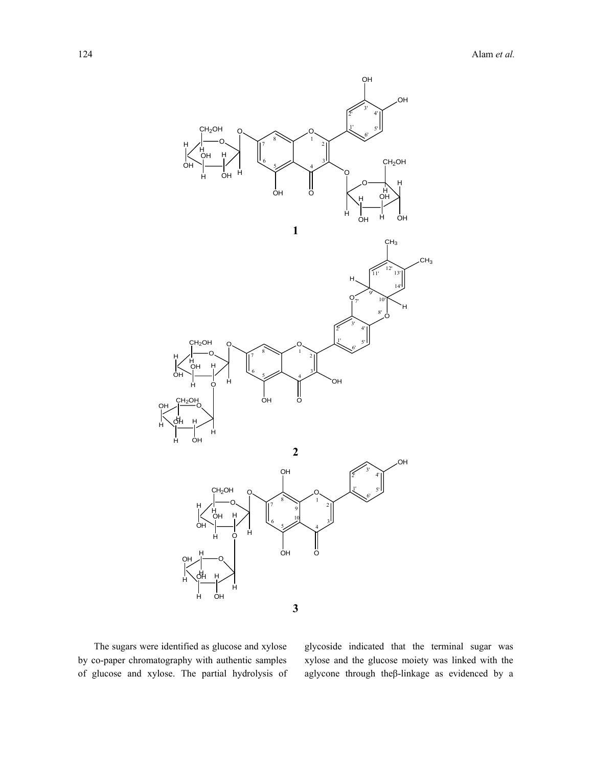

 The sugars were identified as glucose and xylose by co-paper chromatography with authentic samples of glucose and xylose. The partial hydrolysis of glycoside indicated that the terminal sugar was xylose and the glucose moiety was linked with the aglycone through theβ-linkage as evidenced by a